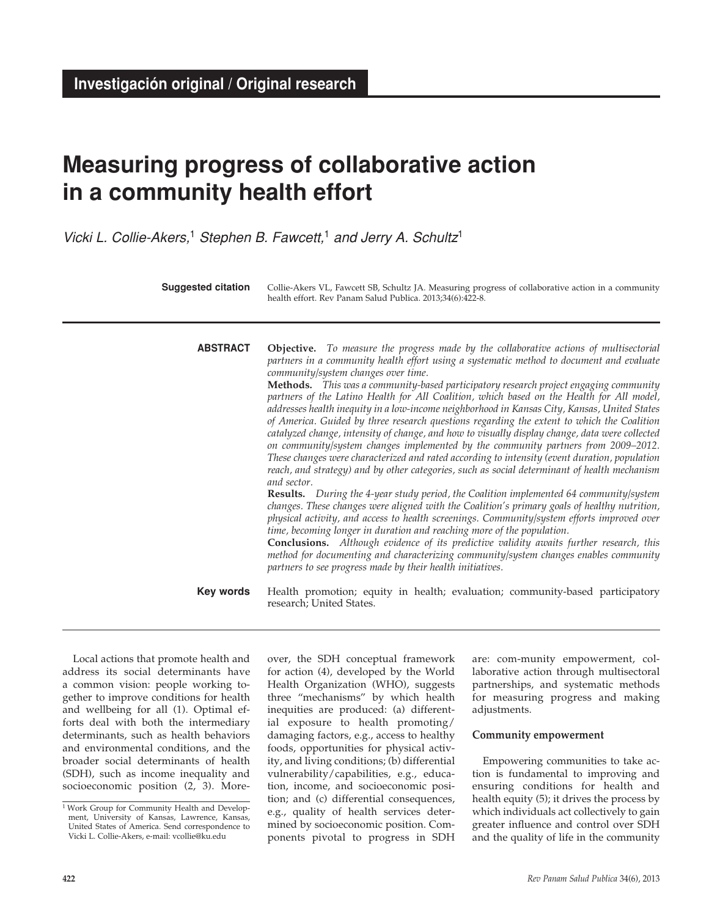# **Measuring progress of collaborative action in a community health effort**

*Vicki L. Collie-Akers,*1 *Stephen B. Fawcett,*1 *and Jerry A. Schultz*<sup>1</sup>

**Objective.** *To measure the progress made by the collaborative actions of multisectorial partners in a community health effort using a systematic method to document and evaluate community/system changes over time.* **Methods.** *This was a community-based participatory research project engaging community partners of the Latino Health for All Coalition, which based on the Health for All model, addresses health inequity in a low-income neighborhood in Kansas City, Kansas, United States of America. Guided by three research questions regarding the extent to which the Coalition catalyzed change, intensity of change, and how to visually display change, data were collected on community/system changes implemented by the community partners from 2009–2012. These changes were characterized and rated according to intensity (event duration, population reach, and strategy) and by other categories, such as social determinant of health mechanism and sector.*  **Results.** *During the 4-year study period, the Coalition implemented 64 community/system changes. These changes were aligned with the Coalition's primary goals of healthy nutrition, physical activity, and access to health screenings. Community/system efforts improved over time, becoming longer in duration and reaching more of the population.*  **Conclusions.** *Although evidence of its predictive validity awaits further research, this method for documenting and characterizing community/system changes enables community partners to see progress made by their health initiatives.* **abstract** Collie-Akers VL, Fawcett SB, Schultz JA. Measuring progress of collaborative action in a community health effort. Rev Panam Salud Publica. 2013;34(6):422-8. **Suggested citation**

> Health promotion; equity in health; evaluation; community-based participatory research; United States. **Key words**

Local actions that promote health and address its social determinants have a common vision: people working together to improve conditions for health and wellbeing for all (1). Optimal efforts deal with both the intermediary determinants, such as health behaviors and environmental conditions, and the broader social determinants of health (SDH), such as income inequality and socioeconomic position (2, 3). Moreover, the SDH conceptual framework for action (4), developed by the World Health Organization (WHO), suggests three "mechanisms" by which health inequities are produced: (a) differential exposure to health promoting/ damaging factors, e.g., access to healthy foods, opportunities for physical activity, and living conditions; (b) differential vulnerability/capabilities, e.g., education, income, and socioeconomic position; and (c) differential consequences, e.g., quality of health services determined by socioeconomic position. Components pivotal to progress in SDH

are: com-munity empowerment, collaborative action through multisectoral partnerships, and systematic methods for measuring progress and making adjustments.

#### **Community empowerment**

Empowering communities to take action is fundamental to improving and ensuring conditions for health and health equity (5); it drives the process by which individuals act collectively to gain greater influence and control over SDH and the quality of life in the community

<sup>&</sup>lt;sup>1</sup> Work Group for Community Health and Development, University of Kansas, Lawrence, Kansas, United States of America. Send correspondence to Vicki L. Collie-Akers, e-mail: vcollie@ku.edu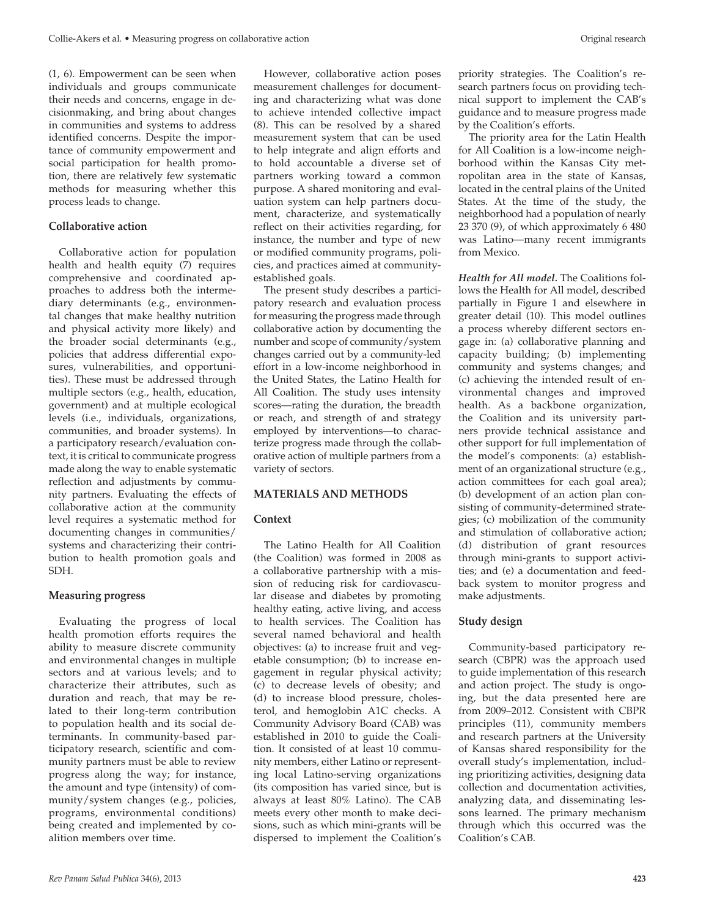(1, 6). Empowerment can be seen when individuals and groups communicate their needs and concerns, engage in decisionmaking, and bring about changes in communities and systems to address identified concerns. Despite the importance of community empowerment and social participation for health promotion, there are relatively few systematic methods for measuring whether this process leads to change.

# **Collaborative action**

Collaborative action for population health and health equity (7) requires comprehensive and coordinated approaches to address both the intermediary determinants (e.g., environmental changes that make healthy nutrition and physical activity more likely) and the broader social determinants (e.g., policies that address differential exposures, vulnerabilities, and opportunities). These must be addressed through multiple sectors (e.g., health, education, government) and at multiple ecological levels (i.e., individuals, organizations, communities, and broader systems). In a participatory research/evaluation context, it is critical to communicate progress made along the way to enable systematic reflection and adjustments by community partners. Evaluating the effects of collaborative action at the community level requires a systematic method for documenting changes in communities/ systems and characterizing their contribution to health promotion goals and SDH.

# **Measuring progress**

Evaluating the progress of local health promotion efforts requires the ability to measure discrete community and environmental changes in multiple sectors and at various levels; and to characterize their attributes, such as duration and reach, that may be related to their long-term contribution to population health and its social determinants. In community-based participatory research, scientific and community partners must be able to review progress along the way; for instance, the amount and type (intensity) of community/system changes (e.g., policies, programs, environmental conditions) being created and implemented by coalition members over time.

However, collaborative action poses measurement challenges for documenting and characterizing what was done to achieve intended collective impact (8). This can be resolved by a shared measurement system that can be used to help integrate and align efforts and to hold accountable a diverse set of partners working toward a common purpose. A shared monitoring and evaluation system can help partners document, characterize, and systematically reflect on their activities regarding, for instance, the number and type of new or modified community programs, policies, and practices aimed at communityestablished goals.

The present study describes a participatory research and evaluation process for measuring the progress made through collaborative action by documenting the number and scope of community/system changes carried out by a community-led effort in a low-income neighborhood in the United States, the Latino Health for All Coalition. The study uses intensity scores—rating the duration, the breadth or reach, and strength of and strategy employed by interventions—to characterize progress made through the collaborative action of multiple partners from a variety of sectors.

# **MATERIALS AND METHODS**

# **Context**

The Latino Health for All Coalition (the Coalition) was formed in 2008 as a collaborative partnership with a mission of reducing risk for cardiovascular disease and diabetes by promoting healthy eating, active living, and access to health services. The Coalition has several named behavioral and health objectives: (a) to increase fruit and vegetable consumption; (b) to increase engagement in regular physical activity; (c) to decrease levels of obesity; and (d) to increase blood pressure, cholesterol, and hemoglobin A1C checks. A Community Advisory Board (CAB) was established in 2010 to guide the Coalition. It consisted of at least 10 community members, either Latino or representing local Latino-serving organizations (its composition has varied since, but is always at least 80% Latino). The CAB meets every other month to make decisions, such as which mini-grants will be dispersed to implement the Coalition's

priority strategies. The Coalition's research partners focus on providing technical support to implement the CAB's guidance and to measure progress made by the Coalition's efforts.

The priority area for the Latin Health for All Coalition is a low-income neighborhood within the Kansas City metropolitan area in the state of Kansas, located in the central plains of the United States. At the time of the study, the neighborhood had a population of nearly 23 370 (9), of which approximately 6 480 was Latino—many recent immigrants from Mexico.

*Health for All model.* The Coalitions follows the Health for All model, described partially in Figure 1 and elsewhere in greater detail (10). This model outlines a process whereby different sectors engage in: (a) collaborative planning and capacity building; (b) implementing community and systems changes; and (c) achieving the intended result of environmental changes and improved health. As a backbone organization, the Coalition and its university partners provide technical assistance and other support for full implementation of the model's components: (a) establishment of an organizational structure (e.g., action committees for each goal area); (b) development of an action plan consisting of community-determined strategies; (c) mobilization of the community and stimulation of collaborative action; (d) distribution of grant resources through mini-grants to support activities; and (e) a documentation and feedback system to monitor progress and make adjustments.

# **Study design**

Community-based participatory research (CBPR) was the approach used to guide implementation of this research and action project. The study is ongoing, but the data presented here are from 2009–2012. Consistent with CBPR principles (11), community members and research partners at the University of Kansas shared responsibility for the overall study's implementation, including prioritizing activities, designing data collection and documentation activities, analyzing data, and disseminating lessons learned. The primary mechanism through which this occurred was the Coalition's CAB.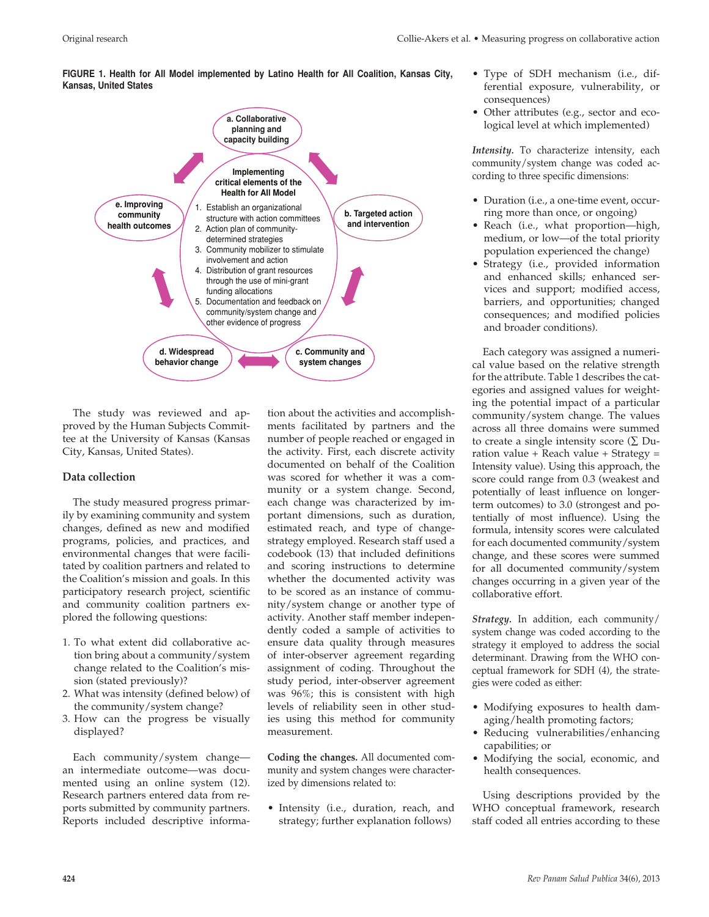**FIGURE 1. Health for All Model implemented by Latino Health for All Coalition, Kansas City, Kansas, United States**



The study was reviewed and approved by the Human Subjects Committee at the University of Kansas (Kansas City, Kansas, United States).

# **Data collection**

The study measured progress primarily by examining community and system changes, defined as new and modified programs, policies, and practices, and environmental changes that were facilitated by coalition partners and related to the Coalition's mission and goals. In this participatory research project, scientific and community coalition partners explored the following questions:

- 1. To what extent did collaborative action bring about a community/system change related to the Coalition's mission (stated previously)?
- 2. What was intensity (defined below) of the community/system change?
- 3. How can the progress be visually displayed?

Each community/system change an intermediate outcome—was documented using an online system (12). Research partners entered data from reports submitted by community partners. Reports included descriptive information about the activities and accomplishments facilitated by partners and the number of people reached or engaged in the activity. First, each discrete activity documented on behalf of the Coalition was scored for whether it was a community or a system change. Second, each change was characterized by important dimensions, such as duration, estimated reach, and type of changestrategy employed. Research staff used a codebook (13) that included definitions and scoring instructions to determine whether the documented activity was to be scored as an instance of community/system change or another type of activity. Another staff member independently coded a sample of activities to ensure data quality through measures of inter-observer agreement regarding assignment of coding. Throughout the study period, inter-observer agreement was 96%; this is consistent with high levels of reliability seen in other studies using this method for community measurement.

**Coding the changes.** All documented community and system changes were characterized by dimensions related to:

• Intensity (i.e., duration, reach, and strategy; further explanation follows)

- Type of SDH mechanism (i.e., differential exposure, vulnerability, or consequences)
- Other attributes (e.g., sector and ecological level at which implemented)

*Intensity.* To characterize intensity, each community/system change was coded according to three specific dimensions:

- Duration (i.e., a one-time event, occurring more than once, or ongoing)
- Reach (i.e., what proportion—high, medium, or low—of the total priority population experienced the change)
- Strategy (i.e., provided information and enhanced skills; enhanced services and support; modified access, barriers, and opportunities; changed consequences; and modified policies and broader conditions).

Each category was assigned a numerical value based on the relative strength for the attribute. Table 1 describes the categories and assigned values for weighting the potential impact of a particular community/system change. The values across all three domains were summed to create a single intensity score ( $\Sigma$  Duration value + Reach value + Strategy = Intensity value). Using this approach, the score could range from 0.3 (weakest and potentially of least influence on longerterm outcomes) to 3.0 (strongest and potentially of most influence). Using the formula, intensity scores were calculated for each documented community/system change, and these scores were summed for all documented community/system changes occurring in a given year of the collaborative effort.

*Strategy.* In addition, each community/ system change was coded according to the strategy it employed to address the social determinant. Drawing from the WHO conceptual framework for SDH (4), the strategies were coded as either:

- Modifying exposures to health damaging/health promoting factors;
- Reducing vulnerabilities/enhancing capabilities; or
- Modifying the social, economic, and health consequences.

Using descriptions provided by the WHO conceptual framework, research staff coded all entries according to these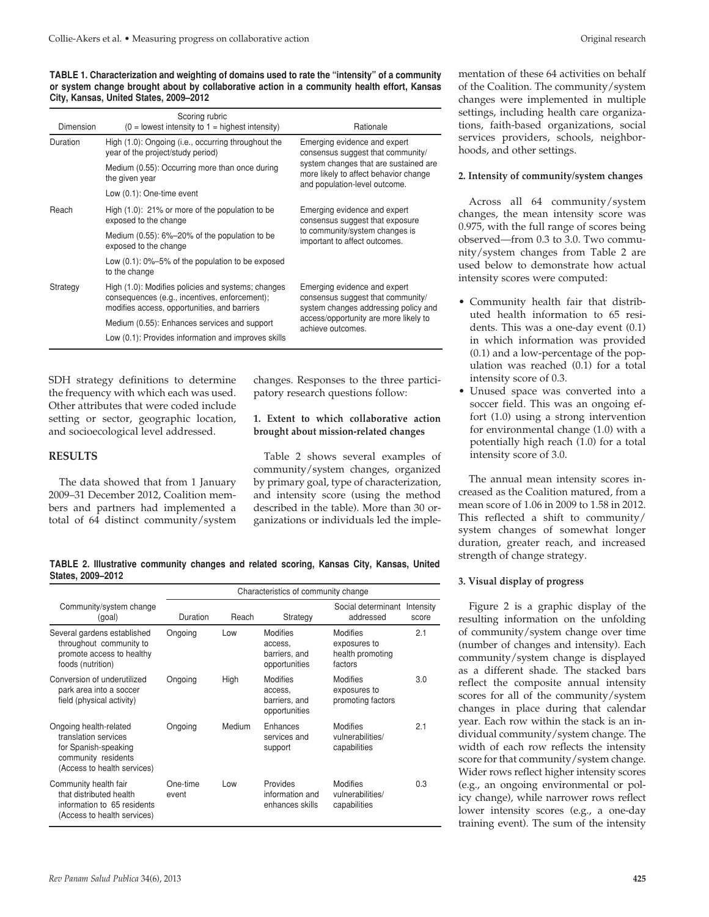| Dimension | Scoring rubric<br>$(0 =$ lowest intensity to $1 =$ highest intensity)                                                                               | Rationale                                                                                                                                                                            |  |
|-----------|-----------------------------------------------------------------------------------------------------------------------------------------------------|--------------------------------------------------------------------------------------------------------------------------------------------------------------------------------------|--|
| Duration  | High (1.0): Ongoing (i.e., occurring throughout the<br>year of the project/study period)                                                            | Emerging evidence and expert<br>consensus suggest that community/<br>system changes that are sustained are<br>more likely to affect behavior change<br>and population-level outcome. |  |
|           | Medium (0.55): Occurring more than once during<br>the given year                                                                                    |                                                                                                                                                                                      |  |
|           | Low (0.1): One-time event                                                                                                                           |                                                                                                                                                                                      |  |
| Reach     | High $(1.0)$ : 21% or more of the population to be<br>exposed to the change                                                                         | Emerging evidence and expert<br>consensus suggest that exposure                                                                                                                      |  |
|           | Medium (0.55): 6%-20% of the population to be<br>exposed to the change                                                                              | to community/system changes is<br>important to affect outcomes.                                                                                                                      |  |
|           | Low $(0.1)$ : 0%-5% of the population to be exposed<br>to the change                                                                                |                                                                                                                                                                                      |  |
| Strategy  | High (1.0): Modifies policies and systems; changes<br>consequences (e.g., incentives, enforcement);<br>modifies access, opportunities, and barriers | Emerging evidence and expert<br>consensus suggest that community/<br>system changes addressing policy and                                                                            |  |
|           | Medium (0.55): Enhances services and support                                                                                                        | access/opportunity are more likely to<br>achieve outcomes.                                                                                                                           |  |
|           | Low (0.1): Provides information and improves skills                                                                                                 |                                                                                                                                                                                      |  |

SDH strategy definitions to determine the frequency with which each was used. Other attributes that were coded include setting or sector, geographic location, and socioecological level addressed.

#### **RESULTS**

The data showed that from 1 January 2009–31 December 2012, Coalition members and partners had implemented a total of 64 distinct community/system changes. Responses to the three participatory research questions follow:

# **1. Extent to which collaborative action brought about mission-related changes**

Table 2 shows several examples of community/system changes, organized by primary goal, type of characterization, and intensity score (using the method described in the table). More than 30 organizations or individuals led the imple-

**TABLE 2. Illustrative community changes and related scoring, Kansas City, Kansas, United States, 2009–2012**

|                                                                                                                              | Characteristics of community change |        |                                                              |                                                                |                    |
|------------------------------------------------------------------------------------------------------------------------------|-------------------------------------|--------|--------------------------------------------------------------|----------------------------------------------------------------|--------------------|
| Community/system change<br>(goal)                                                                                            | Duration                            | Reach  | Strategy                                                     | Social determinant<br>addressed                                | Intensity<br>score |
| Several gardens established<br>throughout community to<br>promote access to healthy<br>foods (nutrition)                     | Ongoing                             | Low    | <b>Modifies</b><br>access.<br>barriers, and<br>opportunities | <b>Modifies</b><br>exposures to<br>health promoting<br>factors | 2.1                |
| Conversion of underutilized<br>park area into a soccer<br>field (physical activity)                                          | Ongoing                             | High   | <b>Modifies</b><br>access.<br>barriers, and<br>opportunities | <b>Modifies</b><br>exposures to<br>promoting factors           | 3.0                |
| Ongoing health-related<br>translation services<br>for Spanish-speaking<br>community residents<br>(Access to health services) | Ongoing                             | Medium | Enhances<br>services and<br>support                          | <b>Modifies</b><br>vulnerabilities/<br>capabilities            | 2.1                |
| Community health fair<br>that distributed health<br>information to 65 residents<br>(Access to health services)               | One-time<br>event                   | Low    | Provides<br>information and<br>enhances skills               | <b>Modifies</b><br>vulnerabilities/<br>capabilities            | 0.3                |

mentation of these 64 activities on behalf of the Coalition. The community/system changes were implemented in multiple settings, including health care organizations, faith-based organizations, social services providers, schools, neighborhoods, and other settings.

#### **2. Intensity of community/system changes**

Across all 64 community/system changes, the mean intensity score was 0.975, with the full range of scores being observed—from 0.3 to 3.0. Two community/system changes from Table 2 are used below to demonstrate how actual intensity scores were computed:

- Community health fair that distributed health information to 65 residents. This was a one-day event (0.1) in which information was provided (0.1) and a low-percentage of the population was reached (0.1) for a total intensity score of 0.3.
- Unused space was converted into a soccer field. This was an ongoing effort (1.0) using a strong intervention for environmental change (1.0) with a potentially high reach (1.0) for a total intensity score of 3.0.

The annual mean intensity scores increased as the Coalition matured, from a mean score of 1.06 in 2009 to 1.58 in 2012. This reflected a shift to community/ system changes of somewhat longer duration, greater reach, and increased strength of change strategy.

#### **3. Visual display of progress**

Figure 2 is a graphic display of the resulting information on the unfolding of community/system change over time (number of changes and intensity). Each community/system change is displayed as a different shade. The stacked bars reflect the composite annual intensity scores for all of the community/system changes in place during that calendar year. Each row within the stack is an individual community/system change. The width of each row reflects the intensity score for that community/system change. Wider rows reflect higher intensity scores (e.g., an ongoing environmental or policy change), while narrower rows reflect lower intensity scores (e.g., a one-day training event). The sum of the intensity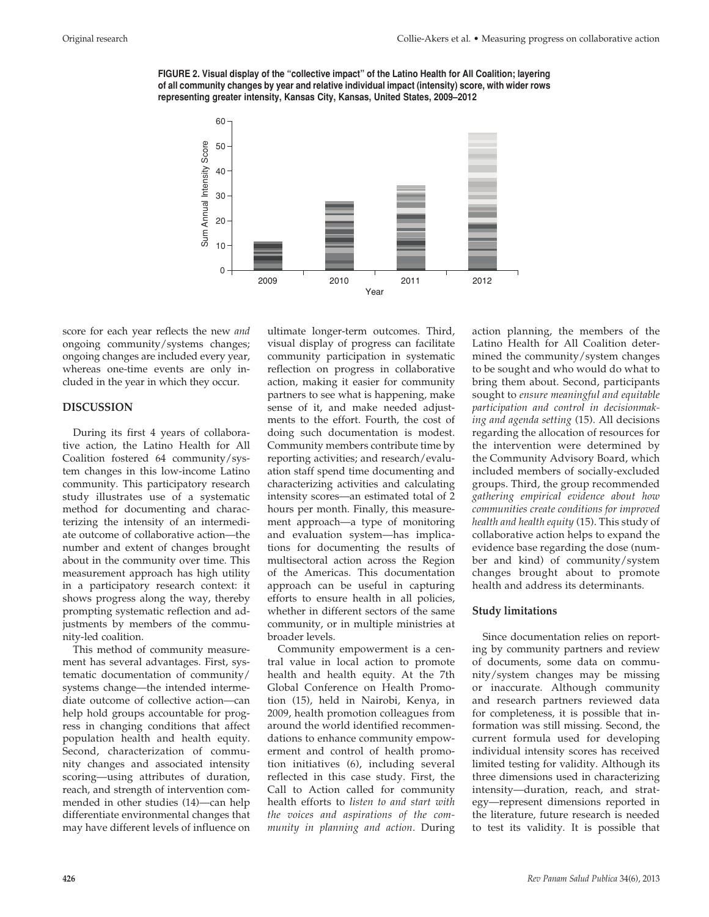



score for each year reflects the new *and* ongoing community/systems changes; ongoing changes are included every year, whereas one-time events are only included in the year in which they occur.

#### **DISCUSSION**

During its first 4 years of collaborative action, the Latino Health for All Coalition fostered 64 community/system changes in this low-income Latino community. This participatory research study illustrates use of a systematic method for documenting and characterizing the intensity of an intermediate outcome of collaborative action—the number and extent of changes brought about in the community over time. This measurement approach has high utility in a participatory research context: it shows progress along the way, thereby prompting systematic reflection and adjustments by members of the community-led coalition.

This method of community measurement has several advantages. First, systematic documentation of community/ systems change—the intended intermediate outcome of collective action—can help hold groups accountable for progress in changing conditions that affect population health and health equity. Second, characterization of community changes and associated intensity scoring—using attributes of duration, reach, and strength of intervention commended in other studies (14)—can help differentiate environmental changes that may have different levels of influence on

ultimate longer-term outcomes. Third, visual display of progress can facilitate community participation in systematic reflection on progress in collaborative action, making it easier for community partners to see what is happening, make sense of it, and make needed adjustments to the effort. Fourth, the cost of doing such documentation is modest. Community members contribute time by reporting activities; and research/evaluation staff spend time documenting and characterizing activities and calculating intensity scores—an estimated total of 2 hours per month. Finally, this measurement approach—a type of monitoring and evaluation system—has implications for documenting the results of multisectoral action across the Region of the Americas. This documentation approach can be useful in capturing efforts to ensure health in all policies, whether in different sectors of the same community, or in multiple ministries at broader levels.

Community empowerment is a central value in local action to promote health and health equity. At the 7th Global Conference on Health Promotion (15), held in Nairobi, Kenya, in 2009, health promotion colleagues from around the world identified recommendations to enhance community empowerment and control of health promotion initiatives (6), including several reflected in this case study. First, the Call to Action called for community health efforts to *listen to and start with the voices and aspirations of the community in planning and action*. During

action planning, the members of the Latino Health for All Coalition determined the community/system changes to be sought and who would do what to bring them about. Second, participants sought to *ensure meaningful and equitable participation and control in decisionmaking and agenda setting* (15). All decisions regarding the allocation of resources for the intervention were determined by the Community Advisory Board, which included members of socially-excluded groups. Third, the group recommended *gathering empirical evidence about how communities create conditions for improved health and health equity* (15). This study of collaborative action helps to expand the evidence base regarding the dose (number and kind) of community/system changes brought about to promote health and address its determinants.

#### **Study limitations**

Since documentation relies on reporting by community partners and review of documents, some data on community/system changes may be missing or inaccurate. Although community and research partners reviewed data for completeness, it is possible that information was still missing. Second, the current formula used for developing individual intensity scores has received limited testing for validity. Although its three dimensions used in characterizing intensity—duration, reach, and strategy—represent dimensions reported in the literature, future research is needed to test its validity. It is possible that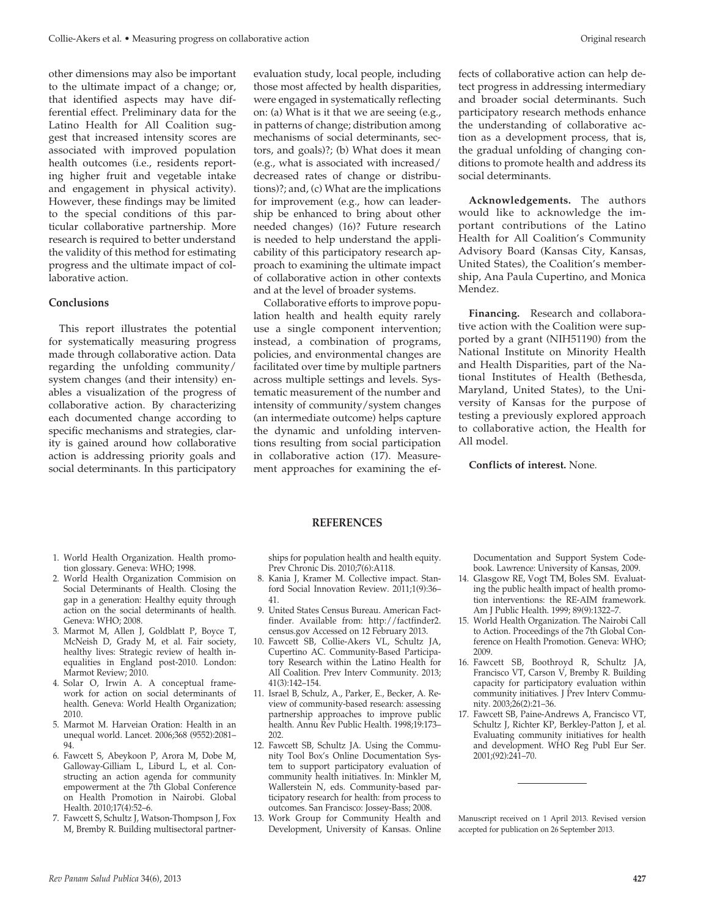other dimensions may also be important to the ultimate impact of a change; or, that identified aspects may have differential effect. Preliminary data for the Latino Health for All Coalition suggest that increased intensity scores are associated with improved population health outcomes (i.e., residents reporting higher fruit and vegetable intake and engagement in physical activity). However, these findings may be limited to the special conditions of this particular collaborative partnership. More research is required to better understand the validity of this method for estimating progress and the ultimate impact of collaborative action.

# **Conclusions**

This report illustrates the potential for systematically measuring progress made through collaborative action. Data regarding the unfolding community/ system changes (and their intensity) enables a visualization of the progress of collaborative action. By characterizing each documented change according to specific mechanisms and strategies, clarity is gained around how collaborative action is addressing priority goals and social determinants. In this participatory evaluation study, local people, including those most affected by health disparities, were engaged in systematically reflecting on: (a) What is it that we are seeing (e.g., in patterns of change; distribution among mechanisms of social determinants, sectors, and goals)?; (b) What does it mean (e.g., what is associated with increased/ decreased rates of change or distributions)?; and, (c) What are the implications for improvement (e.g., how can leadership be enhanced to bring about other needed changes) (16)? Future research is needed to help understand the applicability of this participatory research approach to examining the ultimate impact of collaborative action in other contexts and at the level of broader systems.

Collaborative efforts to improve population health and health equity rarely use a single component intervention; instead, a combination of programs, policies, and environmental changes are facilitated over time by multiple partners across multiple settings and levels. Systematic measurement of the number and intensity of community/system changes (an intermediate outcome) helps capture the dynamic and unfolding interventions resulting from social participation in collaborative action (17). Measurement approaches for examining the ef-

fects of collaborative action can help detect progress in addressing intermediary and broader social determinants. Such participatory research methods enhance the understanding of collaborative action as a development process, that is, the gradual unfolding of changing conditions to promote health and address its social determinants.

**Acknowledgements.** The authors would like to acknowledge the important contributions of the Latino Health for All Coalition's Community Advisory Board (Kansas City, Kansas, United States), the Coalition's membership, Ana Paula Cupertino, and Monica Mendez.

**Financing.** Research and collaborative action with the Coalition were supported by a grant (NIH51190) from the National Institute on Minority Health and Health Disparities, part of the National Institutes of Health (Bethesda, Maryland, United States), to the University of Kansas for the purpose of testing a previously explored approach to collaborative action, the Health for All model.

**Conflicts of interest.** None.

# **REFERENCES**

ships for population health and health equity. Prev Chronic Dis. 2010;7(6):A118.

- 8. Kania J, Kramer M. Collective impact. Stanford Social Innovation Review. 2011;1(9):36– 41.
- 9. United States Census Bureau. American Factfinder. Available from: http://factfinder2. census.gov Accessed on 12 February 2013.
- 10. Fawcett SB, Collie-Akers VL, Schultz JA, Cupertino AC. Community-Based Participatory Research within the Latino Health for All Coalition. Prev Interv Community. 2013; 41(3):142–154.
- 11. Israel B, Schulz, A., Parker, E., Becker, A. Review of community-based research: assessing partnership approaches to improve public health. Annu Rev Public Health. 1998;19:173– 202.
- 12. Fawcett SB, Schultz JA. Using the Community Tool Box's Online Documentation System to support participatory evaluation of community health initiatives. In: Minkler M, Wallerstein N, eds. Community-based participatory research for health: from process to outcomes. San Francisco: Jossey-Bass; 2008.
- 13. Work Group for Community Health and Development, University of Kansas. Online

Documentation and Support System Codebook. Lawrence: University of Kansas, 2009.

- 14. Glasgow RE, Vogt TM, Boles SM. Evaluating the public health impact of health promotion interventions: the RE-AIM framework. Am J Public Health. 1999; 89(9):1322–7.
- 15. World Health Organization. The Nairobi Call to Action. Proceedings of the 7th Global Conference on Health Promotion. Geneva: WHO; 2009.
- 16. Fawcett SB, Boothroyd R, Schultz JA, Francisco VT, Carson V, Bremby R. Building capacity for participatory evaluation within community initiatives. J Prev Interv Community. 2003;26(2):21–36.
- 17. Fawcett SB, Paine-Andrews A, Francisco VT, Schultz J, Richter KP, Berkley-Patton J, et al. Evaluating community initiatives for health and development. WHO Reg Publ Eur Ser. 2001;(92):241–70.

Manuscript received on 1 April 2013. Revised version accepted for publication on 26 September 2013.

- 1. World Health Organization. Health promotion glossary. Geneva: WHO; 1998.
- 2. World Health Organization Commision on Social Determinants of Health. Closing the gap in a generation: Healthy equity through action on the social determinants of health. Geneva: WHO; 2008.
- 3. Marmot M, Allen J, Goldblatt P, Boyce T, McNeish D, Grady M, et al. Fair society, healthy lives: Strategic review of health inequalities in England post-2010. London: Marmot Review; 2010.
- 4. Solar O, Irwin A. A conceptual framework for action on social determinants of health. Geneva: World Health Organization; 2010.
- 5. Marmot M. Harveian Oration: Health in an unequal world. Lancet. 2006;368 (9552):2081– 94.
- 6. Fawcett S, Abeykoon P, Arora M, Dobe M, Galloway-Gilliam L, Liburd L, et al. Constructing an action agenda for community empowerment at the 7th Global Conference on Health Promotion in Nairobi. Global Health. 2010;17(4):52–6.
- 7. Fawcett S, Schultz J, Watson-Thompson J, Fox M, Bremby R. Building multisectoral partner-